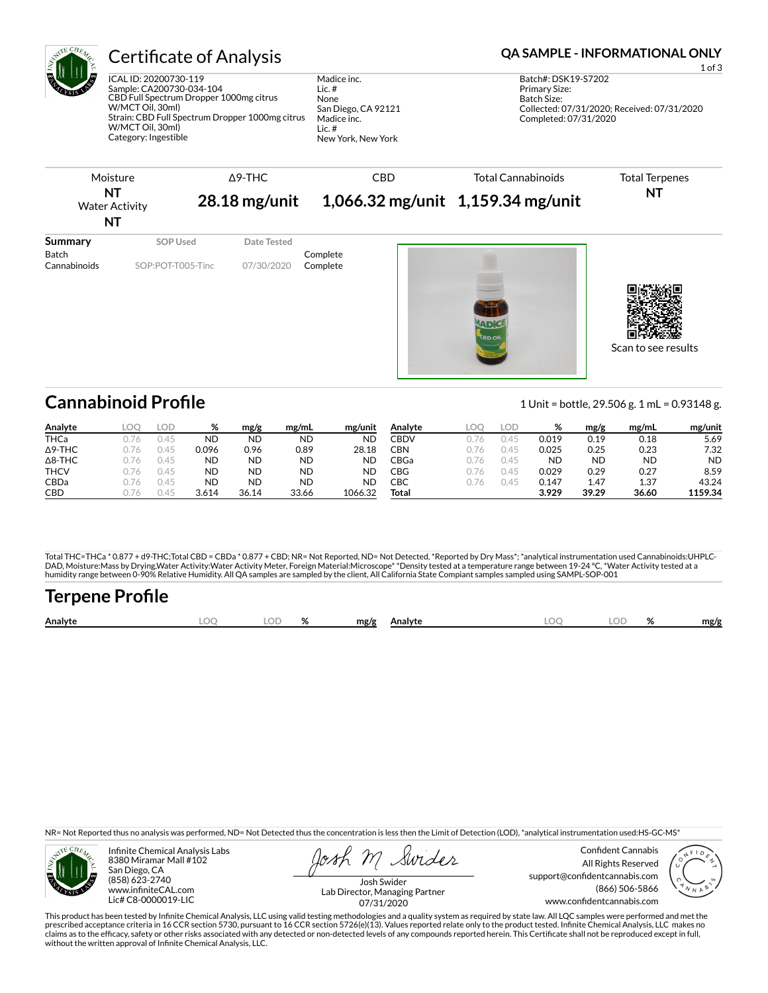

## Certificate of Analysis **Certificate of Analysis QA SAMPLE - INFORMATIONAL ONLY**

ICAL ID: 20200730-119 Sample: CA200730-034-104 CBD Full Spectrum Dropper 1000mg citrus W/MCT Oil, 30ml) Strain: CBD Full Spectrum Dropper 1000mg citrus W/MCT Oil, 30ml) Category: Ingestible

Madice inc. Lic. # None San Diego, CA 92121 Madice inc. Lic. # New York, New York

| Moisture                                 |                   |  | $\triangle$ 9-THC |                                   | <b>CBD</b> | <b>Total Cannabinoids</b> | <b>Total Terpenes</b> |
|------------------------------------------|-------------------|--|-------------------|-----------------------------------|------------|---------------------------|-----------------------|
| <b>NT</b><br><b>Water Activity</b><br>NT |                   |  | $28.18$ mg/unit   | 1,066.32 mg/unit 1,159.34 mg/unit |            |                           | <b>NT</b>             |
| Summary<br><b>Batch</b>                  | SOP Used          |  | Date Tested       | Complete                          |            |                           |                       |
| Cannabinoids                             | SOP:POT-T005-Tinc |  | 07/30/2020        | Complete                          |            |                           |                       |
|                                          |                   |  |                   |                                   |            | <b>CBD OIL</b>            | Scan to see results   |

**Cannabinoid Profile** 1 Unit = bottle, 29.506 g. 1 mL = 0.93148 g.

| Analyte        |      | LOD    | %     | mg/g      | mg/mL     | mg/unit   | Analvte | LOC  | LOD                   | %     | mg/g  | mg/mL     | mg/unit   |
|----------------|------|--------|-------|-----------|-----------|-----------|---------|------|-----------------------|-------|-------|-----------|-----------|
| <b>THCa</b>    |      | $\cup$ | ND    | ND        | <b>ND</b> | <b>ND</b> | CBDV    |      | $\mathbb{A}^{\prime}$ | 0.019 | 0.19  | 0.18      | 5.69      |
| $\Delta$ 9-THC |      | 145    | 0.096 | 0.96      | 0.89      | 28.18     | CBN     | .76  | 4 <sup>t</sup>        | 0.025 | 0.25  | 0.23      | 7.32      |
| $\Delta$ 8-THC | 176  | 0.45   | ND    | <b>ND</b> | <b>ND</b> | <b>ND</b> | CBGa    | .76  | ∣4 <sup>∟</sup>       | ND    | ND    | <b>ND</b> | <b>ND</b> |
| <b>THCV</b>    | 1.76 | 0.45   | ND    | <b>ND</b> | <b>ND</b> | <b>ND</b> | CBG     | 1.76 | 145                   | 0.029 | 0.29  | 0.27      | 8.59      |
| CBDa           | 176  | 145    | ND    | <b>ND</b> | <b>ND</b> | <b>ND</b> | СВС     |      | 4 <sup>L</sup>        | 0.147 | 1.47  | 1.37      | 43.24     |
| CBD            |      | $\cup$ | 3.614 | 36.14     | 33.66     | 1066.32   | Total   |      |                       | 3.929 | 39.29 | 36.60     | 1159.34   |

Total THC=THCa \* 0.877 + d9-THC;Total CBD = CBDa \* 0.877 + CBD; NR= Not Reported, ND= Not Detected, \*Reported by Dry Mass\*; \*analytical instrumentation used Cannabinoids:UHPLC-DAD, Moisture:Mass by Drying,Water Activity:Water Activity Meter, Foreign Material:Microscope\* \*Density tested at a temperature range between 19-24 °C, \*Water Activity tested at a<br>humidity range between 0-90% Relative Humi

| Terpene Profile |     |  |                    |  |           |      |
|-----------------|-----|--|--------------------|--|-----------|------|
| Analyte         | LOO |  | LOD % mg/g Analyte |  | LOQ LOD % | mg/g |

NR= Not Reported thus no analysis was performed, ND= Not Detected thus the concentration is less then the Limit of Detection (LOD), \*analytical instrumentation used:HS-GC-MS\*



Infinite Chemical Analysis Labs 8380 Miramar Mall #102 San Diego, CA (858) 623-2740 www.infiniteCAL.com Lic# C8-0000019-LIC

Swider

Confident Cannabis All Rights Reserved support@confidentcannabis.com (866) 506-5866 www.confidentcannabis.com



Josh Swider Lab Director, Managing Partner 07/31/2020

This product has been tested by Infinite Chemical Analysis, LLC using valid testing methodologies and a quality system as required by state law. All LQC samples were performed and met the prescribed acceptance criteria in 16 CCR section 5730, pursuant to 16 CCR section 5726(e)(13). Values reported relate only to the product tested. Infinite Chemical Analysis, LLC makes no<br>claims as to the efficacy, safety o without the written approval of Infinite Chemical Analysis, LLC.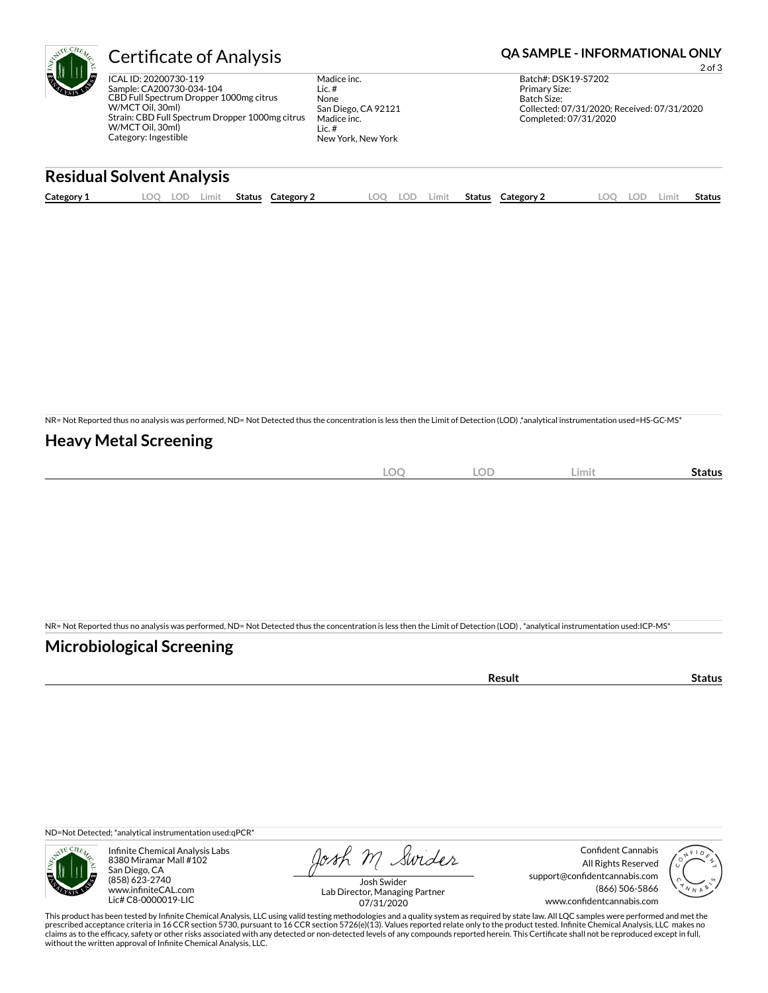

## Certificate of Analysis **Certificate of Analysis QA SAMPLE - INFORMATIONAL ONLY**

ICAL ID: 20200730-119 Sample: CA200730-034-104 CBD Full Spectrum Dropper 1000mg citrus W/MCT Oil, 30ml) Strain: CBD Full Spectrum Dropper 1000mg citrus W/MCT Oil, 30ml) Category: Ingestible

Madice inc. Lic. # None San Diego, CA 92121 Madice inc. Lic. # New York, New York

2 of 3 Batch#: DSK19-S7202 Primary Size: Batch Size: Collected: 07/31/2020; Received: 07/31/2020 Completed: 07/31/2020

## **Residual Solvent Analysis**

| Category 1 | $\sim$ $\sim$<br><u>.</u> | J. | Limit | <b>Status</b> | Category | LOO | LOD | .imit | <b>Status</b> | Category 2 | O) | LOD. | .imi | Status |
|------------|---------------------------|----|-------|---------------|----------|-----|-----|-------|---------------|------------|----|------|------|--------|
|            |                           |    |       |               |          |     |     |       |               |            |    |      |      |        |

NR= Not Reported thus no analysis was performed, ND= Not Detected thus the concentration is less then the Limit of Detection (LOD) ,\*analytical instrumentation used=HS-GC-MS\*

### **Heavy Metal Screening**

| $\sim$<br>$-$<br>$-\sim$<br>$\sim$ | $\cap$<br>LUD | ∠imit∶ | Status |
|------------------------------------|---------------|--------|--------|
|                                    |               |        |        |

NR= Not Reported thus no analysis was performed, ND= Not Detected thus the concentration is less then the Limit of Detection (LOD) , \*analytical instrumentation used:ICP-MS\*

### **Microbiological Screening**

| esult | ., |
|-------|----|
|       |    |

ND=Not Detected; \*analytical instrumentation used:qPCR\*



Infinite Chemical Analysis Labs 8380 Miramar Mall #102 San Diego, CA (858) 623-2740 www.infiniteCAL.com Lic# C8-0000019-LIC

Josh M Swider

Confident Cannabis All Rights Reserved support@confidentcannabis.com (866) 506-5866 www.confidentcannabis.com



Josh Swider Lab Director, Managing Partner 07/31/2020

This product has been tested by Infinite Chemical Analysis, LLC using valid testing methodologies and a quality system as required by state law. All LQC samples were performed and met the prescribed acceptance criteria in 16 CCR section 5730, pursuant to 16 CCR section 5726(e)(13). Values reported relate only to the product tested. Infinite Chemical Analysis, LLC makes no<br>claims as to the efficacy, safety o without the written approval of Infinite Chemical Analysis, LLC.